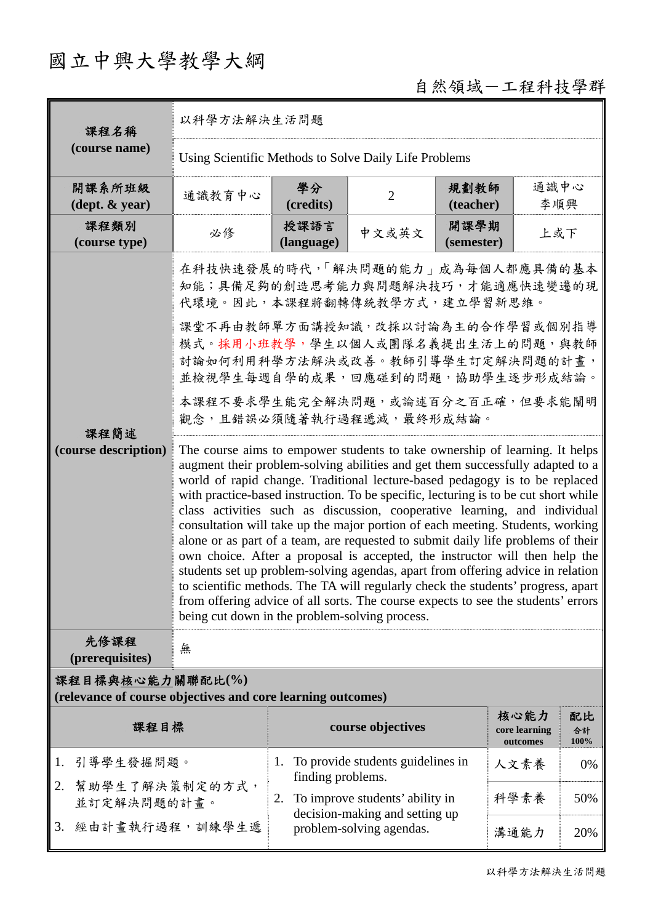## 國立中興大學教學大綱

## 自然領域-工程科技學群

| 課程名稱                                                                            | 以科學方法解決生活問題                                                                                                                                                                                                                                                                                                                                                                                                                                                                                                                                                                                                                                                                                                                                                                                                                                                                                                                                                                         |                                                                         |                                   |                    |                                   |                  |  |  |
|---------------------------------------------------------------------------------|-------------------------------------------------------------------------------------------------------------------------------------------------------------------------------------------------------------------------------------------------------------------------------------------------------------------------------------------------------------------------------------------------------------------------------------------------------------------------------------------------------------------------------------------------------------------------------------------------------------------------------------------------------------------------------------------------------------------------------------------------------------------------------------------------------------------------------------------------------------------------------------------------------------------------------------------------------------------------------------|-------------------------------------------------------------------------|-----------------------------------|--------------------|-----------------------------------|------------------|--|--|
| (course name)                                                                   | Using Scientific Methods to Solve Daily Life Problems                                                                                                                                                                                                                                                                                                                                                                                                                                                                                                                                                                                                                                                                                                                                                                                                                                                                                                                               |                                                                         |                                   |                    |                                   |                  |  |  |
| 開課系所班級<br>$(\text{dept.} \& \text{ year})$                                      | 通識教育中心                                                                                                                                                                                                                                                                                                                                                                                                                                                                                                                                                                                                                                                                                                                                                                                                                                                                                                                                                                              | 學分<br>(credits)                                                         | $\overline{2}$                    | 規劃教師<br>(teacher)  | 通識中心<br>李順興                       |                  |  |  |
| 課程類別<br>(course type)                                                           | 必修                                                                                                                                                                                                                                                                                                                                                                                                                                                                                                                                                                                                                                                                                                                                                                                                                                                                                                                                                                                  | 授課語言<br>(language)                                                      | 中文或英文                             | 開課學期<br>(semester) | 上或下                               |                  |  |  |
|                                                                                 | 在科技快速發展的時代,「解決問題的能力」成為每個人都應具備的基本<br>知能;具備足夠的創造思考能力與問題解決技巧,才能適應快速變遷的現<br>代環境。因此,本課程將翻轉傳統教學方式,建立學習新思維。                                                                                                                                                                                                                                                                                                                                                                                                                                                                                                                                                                                                                                                                                                                                                                                                                                                                                |                                                                         |                                   |                    |                                   |                  |  |  |
| 課程簡述<br>(course description)                                                    | 課堂不再由教師單方面講授知識,改採以討論為主的合作學習或個別指導<br>模式。採用小班教學,學生以個人或團隊名義提出生活上的問題,與教師<br>討論如何利用科學方法解決或改善。教師引導學生訂定解決問題的計畫,<br>並檢視學生每週自學的成果,回應碰到的問題,協助學生逐步形成結論。                                                                                                                                                                                                                                                                                                                                                                                                                                                                                                                                                                                                                                                                                                                                                                                                                                        |                                                                         |                                   |                    |                                   |                  |  |  |
|                                                                                 | 本課程不要求學生能完全解決問題,或論述百分之百正確,但要求能闡明<br>觀念,且錯誤必須隨著執行過程遞減,最終形成結論。                                                                                                                                                                                                                                                                                                                                                                                                                                                                                                                                                                                                                                                                                                                                                                                                                                                                                                                        |                                                                         |                                   |                    |                                   |                  |  |  |
|                                                                                 | The course aims to empower students to take ownership of learning. It helps<br>augment their problem-solving abilities and get them successfully adapted to a<br>world of rapid change. Traditional lecture-based pedagogy is to be replaced<br>with practice-based instruction. To be specific, lecturing is to be cut short while<br>class activities such as discussion, cooperative learning, and individual<br>consultation will take up the major portion of each meeting. Students, working<br>alone or as part of a team, are requested to submit daily life problems of their<br>own choice. After a proposal is accepted, the instructor will then help the<br>students set up problem-solving agendas, apart from offering advice in relation<br>to scientific methods. The TA will regularly check the students' progress, apart<br>from offering advice of all sorts. The course expects to see the students' errors<br>being cut down in the problem-solving process. |                                                                         |                                   |                    |                                   |                  |  |  |
| 先修課程<br>(prerequisites)                                                         | 無                                                                                                                                                                                                                                                                                                                                                                                                                                                                                                                                                                                                                                                                                                                                                                                                                                                                                                                                                                                   |                                                                         |                                   |                    |                                   |                  |  |  |
| 課程目標與核心能力關聯配比(%)<br>(relevance of course objectives and core learning outcomes) |                                                                                                                                                                                                                                                                                                                                                                                                                                                                                                                                                                                                                                                                                                                                                                                                                                                                                                                                                                                     |                                                                         |                                   |                    |                                   |                  |  |  |
| 課程目標                                                                            |                                                                                                                                                                                                                                                                                                                                                                                                                                                                                                                                                                                                                                                                                                                                                                                                                                                                                                                                                                                     |                                                                         | course objectives                 |                    | 核心能力<br>core learning<br>outcomes | 配比<br>合計<br>100% |  |  |
| 引導學生發掘問題。<br>1.                                                                 |                                                                                                                                                                                                                                                                                                                                                                                                                                                                                                                                                                                                                                                                                                                                                                                                                                                                                                                                                                                     | 1.<br>finding problems.                                                 | To provide students guidelines in |                    | 人文素養                              | 0%               |  |  |
| 幫助學生了解決策制定的方式,<br>2.<br>並訂定解決問題的計畫。                                             |                                                                                                                                                                                                                                                                                                                                                                                                                                                                                                                                                                                                                                                                                                                                                                                                                                                                                                                                                                                     | To improve students' ability in<br>2.<br>decision-making and setting up |                                   |                    | 科學素養                              | 50%              |  |  |
| 經由計畫執行過程,訓練學生遞<br>3.                                                            |                                                                                                                                                                                                                                                                                                                                                                                                                                                                                                                                                                                                                                                                                                                                                                                                                                                                                                                                                                                     |                                                                         | problem-solving agendas.          | 溝通能力               | 20%                               |                  |  |  |